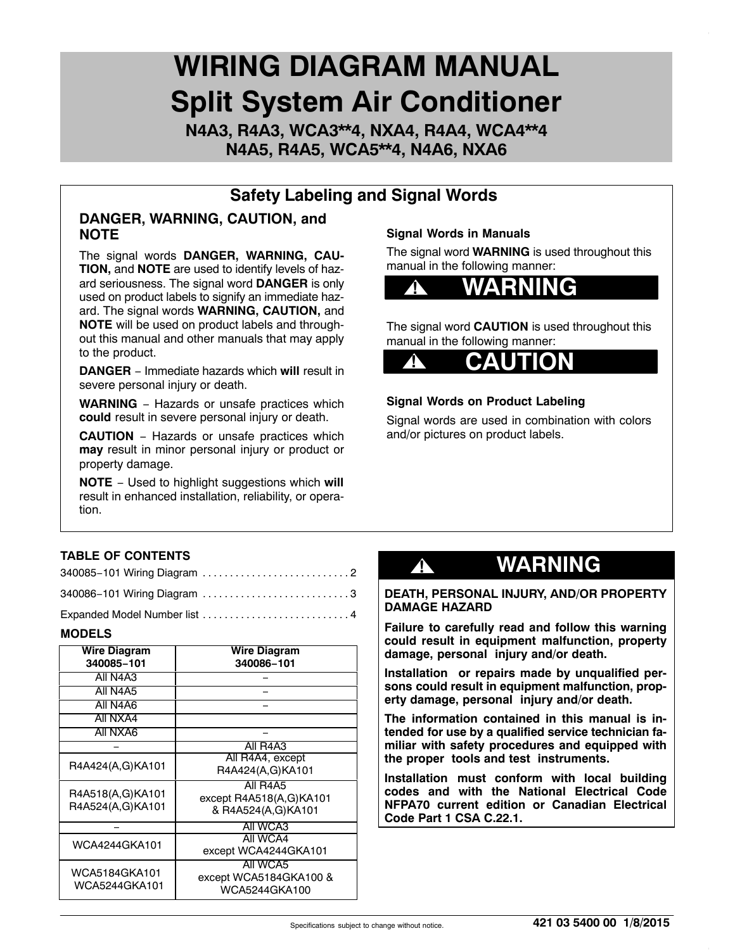# **WIRING DIAGRAM MANUAL Split System Air Conditioner**

**N4A3, R4A3, WCA3\*\*4, NXA4, R4A4, WCA4\*\*4 N4A5, R4A5, WCA5\*\*4, N4A6, NXA6**

### **Safety Labeling and Signal Words**

#### **DANGER, WARNING, CAUTION, and NOTE**

The signal words **DANGER, WARNING, CAU-TION,** and **NOTE** are used to identify levels of hazard seriousness. The signal word **DANGER** is only used on product labels to signify an immediate hazard. The signal words **WARNING, CAUTION,** and **NOTE** will be used on product labels and throughout this manual and other manuals that may apply to the product.

**DANGER** − Immediate hazards which **will** result in severe personal injury or death.

**WARNING** − Hazards or unsafe practices which **could** result in severe personal injury or death.

**CAUTION** − Hazards or unsafe practices which **may** result in minor personal injury or product or property damage.

**NOTE** − Used to highlight suggestions which **will** result in enhanced installation, reliability, or operation.

#### **Signal Words in Manuals**

The signal word **WARNING** is used throughout this manual in the following manner:



The signal word **CAUTION** is used throughout this manual in the following manner:



#### **Signal Words on Product Labeling**

Signal words are used in combination with colors and/or pictures on product labels.

#### **TABLE OF CONTENTS**

| 340086-101 Wiring Diagram 3 |  |
|-----------------------------|--|

Expanded Model Number list ................................4

#### **MODELS**

| <b>Wire Diagram</b><br>340085-101    | Wire Diagram<br>340086-101                                |  |  |
|--------------------------------------|-----------------------------------------------------------|--|--|
| All N4A3                             |                                                           |  |  |
| All N4A5                             |                                                           |  |  |
| All N4A6                             |                                                           |  |  |
| All NXA4                             |                                                           |  |  |
| All NXA6                             |                                                           |  |  |
|                                      | All R4A3                                                  |  |  |
| R4A424(A,G)KA101                     | All R4A4, except<br>R4A424(A,G)KA101                      |  |  |
| R4A518(A,G)KA101<br>R4A524(A,G)KA101 | All R4A5<br>except R4A518(A,G)KA101<br>& R4A524(A,G)KA101 |  |  |
|                                      | All WCA3                                                  |  |  |
| WCA4244GKA101                        | All WCA4<br>except WCA4244GKA101                          |  |  |
| WCA5184GKA101<br>WCA5244GKA101       | All WCA5<br>except WCA5184GKA100 &<br>WCA5244GKA100       |  |  |

## **! WARNING**

#### **DEATH, PERSONAL INJURY, AND/OR PROPERTY DAMAGE HAZARD**

**Failure to carefully read and follow this warning could result in equipment malfunction, property damage, personal injury and/or death.**

**Installation or repairs made by unqualified persons could result in equipment malfunction, property damage, personal injury and/or death.**

**The information contained in this manual is intended for use by a qualified service technician familiar with safety procedures and equipped with the proper tools and test instruments.**

**Installation must conform with local building codes and with the National Electrical Code NFPA70 current edition or Canadian Electrical Code Part 1 CSA C.22.1.**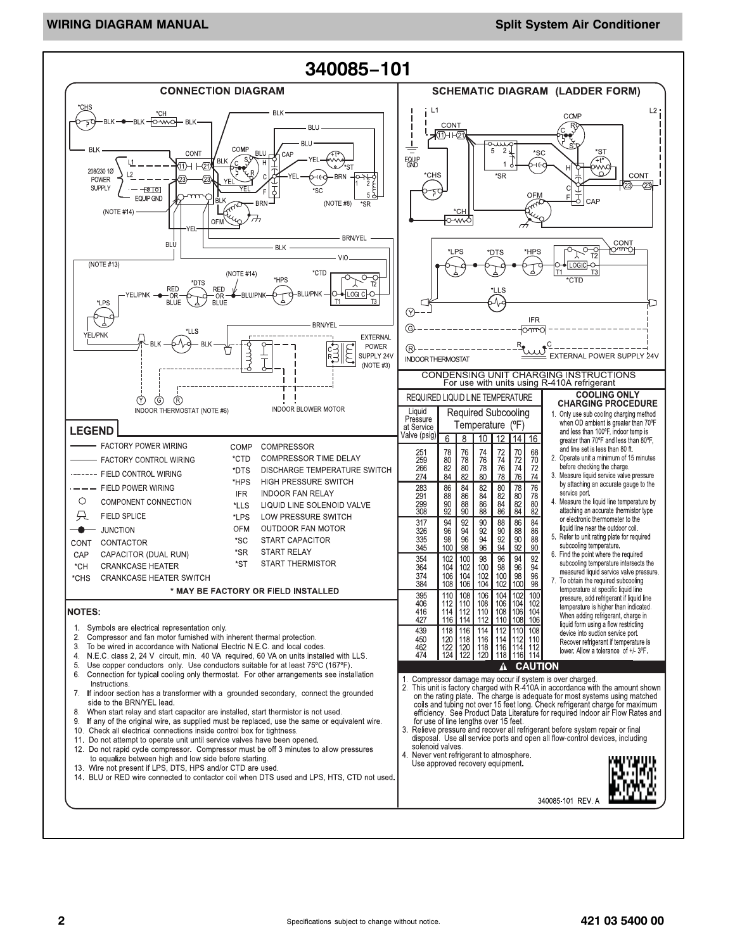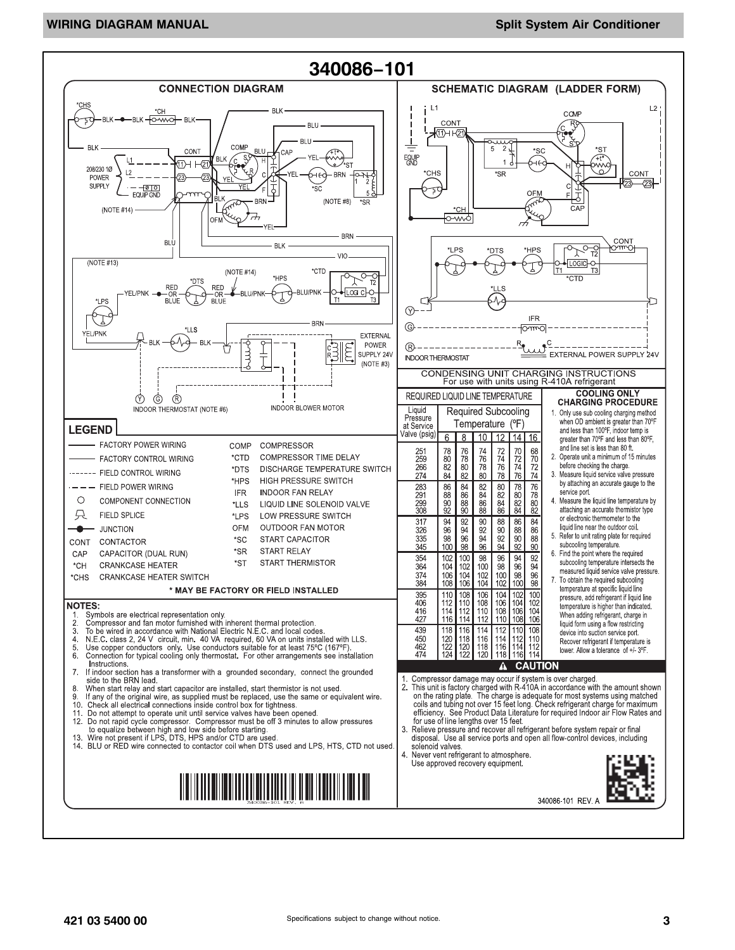